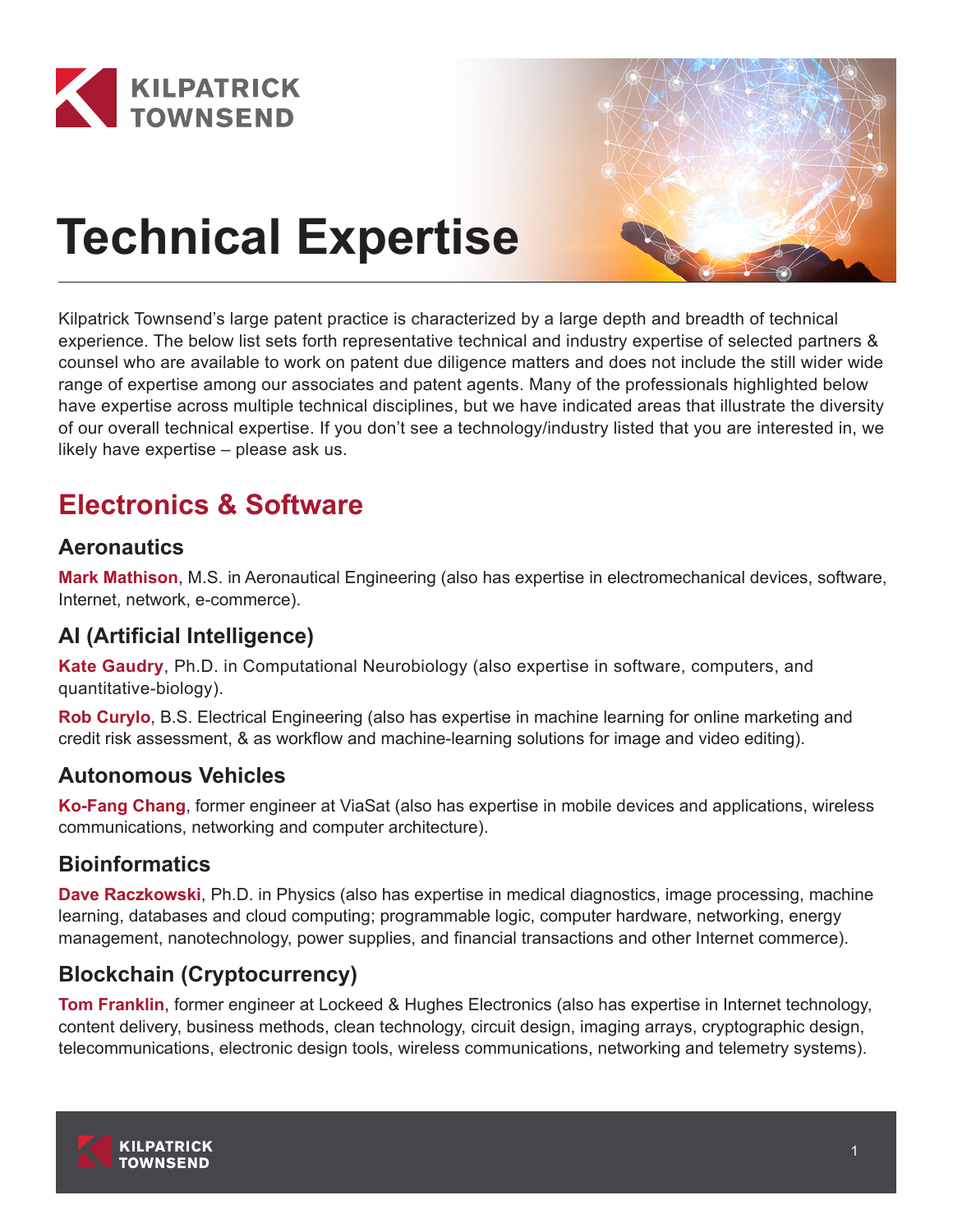



# **Technical Expertise**

Kilpatrick Townsend's large patent practice is characterized by a large depth and breadth of technical experience. The below list sets forth representative technical and industry expertise of selected partners & counsel who are available to work on patent due diligence matters and does not include the still wider wide range of expertise among our associates and patent agents. Many of the professionals highlighted below have expertise across multiple technical disciplines, but we have indicated areas that illustrate the diversity of our overall technical expertise. If you don't see a technology/industry listed that you are interested in, we likely have expertise – please ask us.

# **Electronics & Software**

## **Aeronautics**

**Mark Mathison**, M.S. in Aeronautical Engineering (also has expertise in electromechanical devices, software, Internet, network, e-commerce).

## **AI (Artificial Intelligence)**

**Kate Gaudry**, Ph.D. in Computational Neurobiology (also expertise in software, computers, and quantitative-biology).

**Rob Curylo**, B.S. Electrical Engineering (also has expertise in machine learning for online marketing and credit risk assessment, & as workflow and machine-learning solutions for image and video editing).

## **Autonomous Vehicles**

**Ko-Fang Chang**, former engineer at ViaSat (also has expertise in mobile devices and applications, wireless communications, networking and computer architecture).

## **Bioinformatics**

**Dave Raczkowski**, Ph.D. in Physics (also has expertise in medical diagnostics, image processing, machine learning, databases and cloud computing; programmable logic, computer hardware, networking, energy management, nanotechnology, power supplies, and financial transactions and other Internet commerce).

## **Blockchain (Cryptocurrency)**

**Tom Franklin**, former engineer at Lockeed & Hughes Electronics (also has expertise in Internet technology, content delivery, business methods, clean technology, circuit design, imaging arrays, cryptographic design, telecommunications, electronic design tools, wireless communications, networking and telemetry systems).

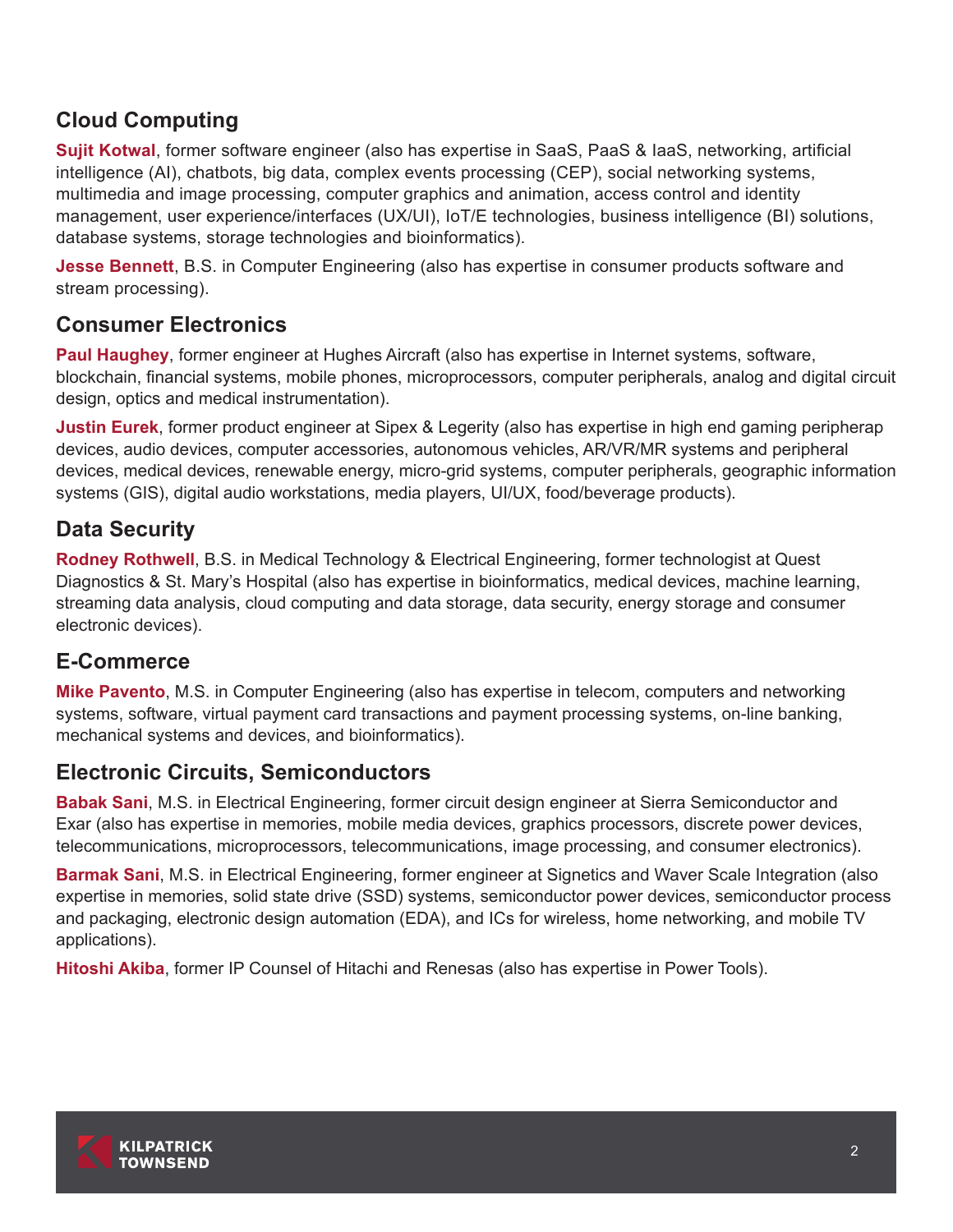## **Cloud Computing**

**Sujit Kotwal**, former software engineer (also has expertise in SaaS, PaaS & IaaS, networking, artificial intelligence (AI), chatbots, big data, complex events processing (CEP), social networking systems, multimedia and image processing, computer graphics and animation, access control and identity management, user experience/interfaces (UX/UI), IoT/E technologies, business intelligence (BI) solutions, database systems, storage technologies and bioinformatics).

**Jesse Bennett**, B.S. in Computer Engineering (also has expertise in consumer products software and stream processing).

## **Consumer Electronics**

**Paul Haughey**, former engineer at Hughes Aircraft (also has expertise in Internet systems, software, blockchain, financial systems, mobile phones, microprocessors, computer peripherals, analog and digital circuit design, optics and medical instrumentation).

**Justin Eurek**, former product engineer at Sipex & Legerity (also has expertise in high end gaming peripherap devices, audio devices, computer accessories, autonomous vehicles, AR/VR/MR systems and peripheral devices, medical devices, renewable energy, micro-grid systems, computer peripherals, geographic information systems (GIS), digital audio workstations, media players, UI/UX, food/beverage products).

## **Data Security**

**Rodney Rothwell**, B.S. in Medical Technology & Electrical Engineering, former technologist at Quest Diagnostics & St. Mary's Hospital (also has expertise in bioinformatics, medical devices, machine learning, streaming data analysis, cloud computing and data storage, data security, energy storage and consumer electronic devices).

## **E-Commerce**

**Mike Pavento**, M.S. in Computer Engineering (also has expertise in telecom, computers and networking systems, software, virtual payment card transactions and payment processing systems, on-line banking, mechanical systems and devices, and bioinformatics).

## **Electronic Circuits, Semiconductors**

**Babak Sani**, M.S. in Electrical Engineering, former circuit design engineer at Sierra Semiconductor and Exar (also has expertise in memories, mobile media devices, graphics processors, discrete power devices, telecommunications, microprocessors, telecommunications, image processing, and consumer electronics).

**Barmak Sani**, M.S. in Electrical Engineering, former engineer at Signetics and Waver Scale Integration (also expertise in memories, solid state drive (SSD) systems, semiconductor power devices, semiconductor process and packaging, electronic design automation (EDA), and ICs for wireless, home networking, and mobile TV applications).

**Hitoshi Akiba**, former IP Counsel of Hitachi and Renesas (also has expertise in Power Tools).

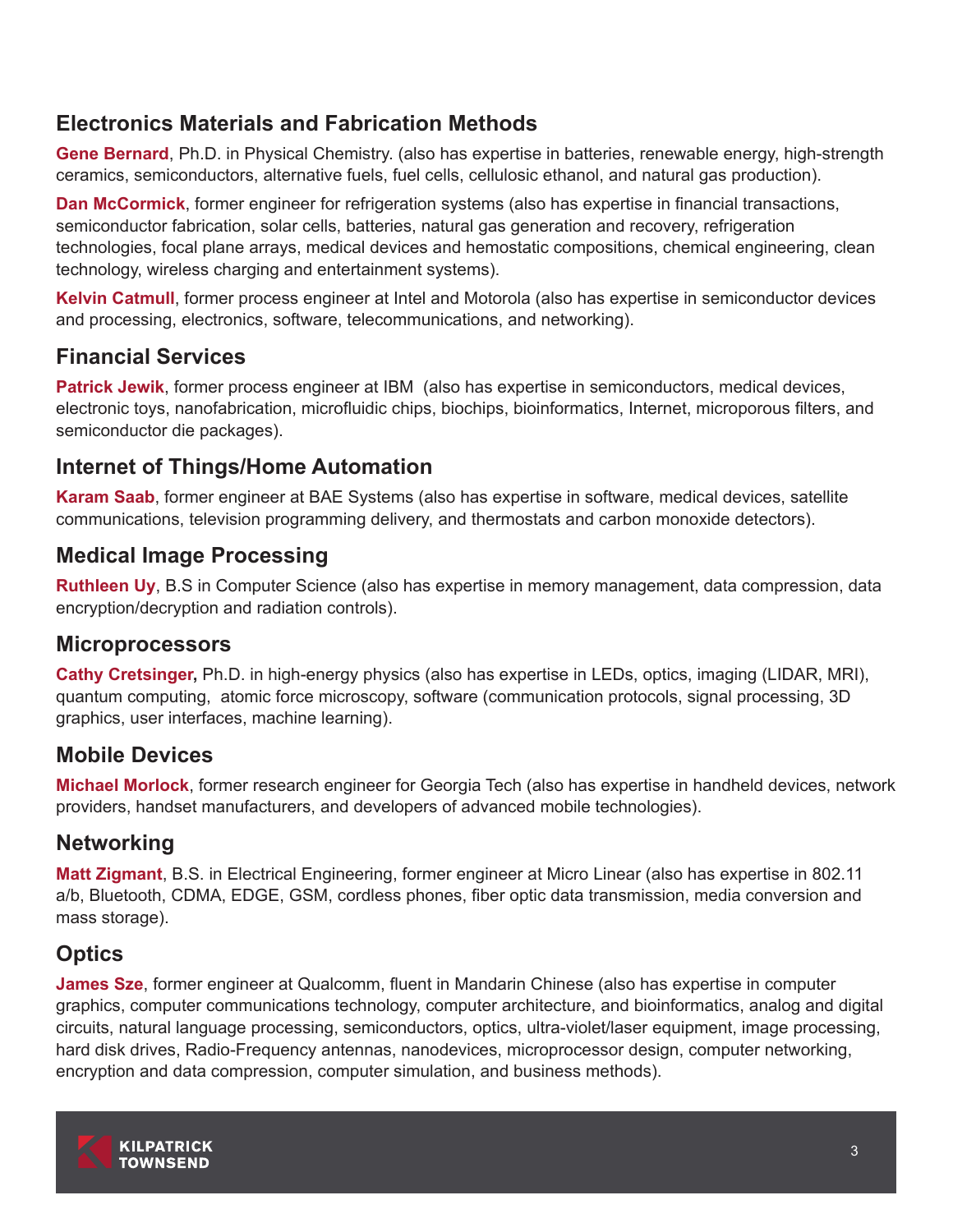## **Electronics Materials and Fabrication Methods**

**Gene Bernard**, Ph.D. in Physical Chemistry. (also has expertise in batteries, renewable energy, high-strength ceramics, semiconductors, alternative fuels, fuel cells, cellulosic ethanol, and natural gas production).

**Dan McCormick**, former engineer for refrigeration systems (also has expertise in financial transactions, semiconductor fabrication, solar cells, batteries, natural gas generation and recovery, refrigeration technologies, focal plane arrays, medical devices and hemostatic compositions, chemical engineering, clean technology, wireless charging and entertainment systems).

**Kelvin Catmull**, former process engineer at Intel and Motorola (also has expertise in semiconductor devices and processing, electronics, software, telecommunications, and networking).

## **Financial Services**

**Patrick Jewik**, former process engineer at IBM (also has expertise in semiconductors, medical devices, electronic toys, nanofabrication, microfluidic chips, biochips, bioinformatics, Internet, microporous filters, and semiconductor die packages).

## **Internet of Things/Home Automation**

**Karam Saab**, former engineer at BAE Systems (also has expertise in software, medical devices, satellite communications, television programming delivery, and thermostats and carbon monoxide detectors).

## **Medical Image Processing**

**Ruthleen Uy**, B.S in Computer Science (also has expertise in memory management, data compression, data encryption/decryption and radiation controls).

## **Microprocessors**

**Cathy Cretsinger,** Ph.D. in high-energy physics (also has expertise in LEDs, optics, imaging (LIDAR, MRI), quantum computing, atomic force microscopy, software (communication protocols, signal processing, 3D graphics, user interfaces, machine learning).

## **Mobile Devices**

**Michael Morlock**, former research engineer for Georgia Tech (also has expertise in handheld devices, network providers, handset manufacturers, and developers of advanced mobile technologies).

## **Networking**

**Matt Zigmant**, B.S. in Electrical Engineering, former engineer at Micro Linear (also has expertise in 802.11 a/b, Bluetooth, CDMA, EDGE, GSM, cordless phones, fiber optic data transmission, media conversion and mass storage).

## **Optics**

**James Sze**, former engineer at Qualcomm, fluent in Mandarin Chinese (also has expertise in computer graphics, computer communications technology, computer architecture, and bioinformatics, analog and digital circuits, natural language processing, semiconductors, optics, ultra-violet/laser equipment, image processing, hard disk drives, Radio-Frequency antennas, nanodevices, microprocessor design, computer networking, encryption and data compression, computer simulation, and business methods).

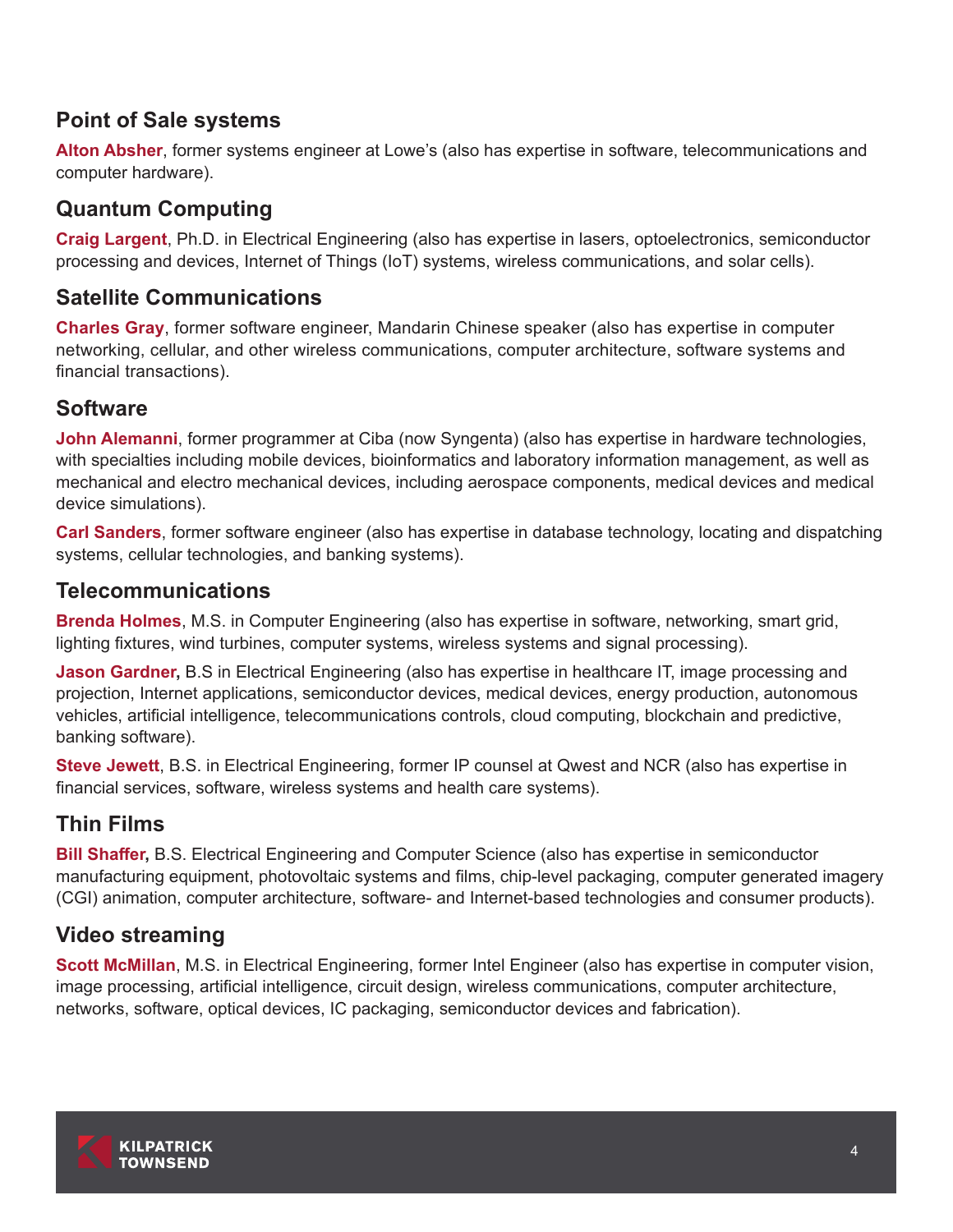## **Point of Sale systems**

**Alton Absher**, former systems engineer at Lowe's (also has expertise in software, telecommunications and computer hardware).

## **Quantum Computing**

**Craig Largent**, Ph.D. in Electrical Engineering (also has expertise in lasers, optoelectronics, semiconductor processing and devices, Internet of Things (IoT) systems, wireless communications, and solar cells).

## **Satellite Communications**

**Charles Gray**, former software engineer, Mandarin Chinese speaker (also has expertise in computer networking, cellular, and other wireless communications, computer architecture, software systems and financial transactions).

## **Software**

**John Alemanni**, former programmer at Ciba (now Syngenta) (also has expertise in hardware technologies, with specialties including mobile devices, bioinformatics and laboratory information management, as well as mechanical and electro mechanical devices, including aerospace components, medical devices and medical device simulations).

**Carl Sanders**, former software engineer (also has expertise in database technology, locating and dispatching systems, cellular technologies, and banking systems).

## **Telecommunications**

**Brenda Holmes**, M.S. in Computer Engineering (also has expertise in software, networking, smart grid, lighting fixtures, wind turbines, computer systems, wireless systems and signal processing).

**Jason Gardner,** B.S in Electrical Engineering (also has expertise in healthcare IT, image processing and projection, Internet applications, semiconductor devices, medical devices, energy production, autonomous vehicles, artificial intelligence, telecommunications controls, cloud computing, blockchain and predictive, banking software).

**Steve Jewett**, B.S. in Electrical Engineering, former IP counsel at Qwest and NCR (also has expertise in financial services, software, wireless systems and health care systems).

## **Thin Films**

**Bill Shaffer,** B.S. Electrical Engineering and Computer Science (also has expertise in semiconductor manufacturing equipment, photovoltaic systems and films, chip-level packaging, computer generated imagery (CGI) animation, computer architecture, software- and Internet-based technologies and consumer products).

## **Video streaming**

**Scott McMillan**, M.S. in Electrical Engineering, former Intel Engineer (also has expertise in computer vision, image processing, artificial intelligence, circuit design, wireless communications, computer architecture, networks, software, optical devices, IC packaging, semiconductor devices and fabrication).

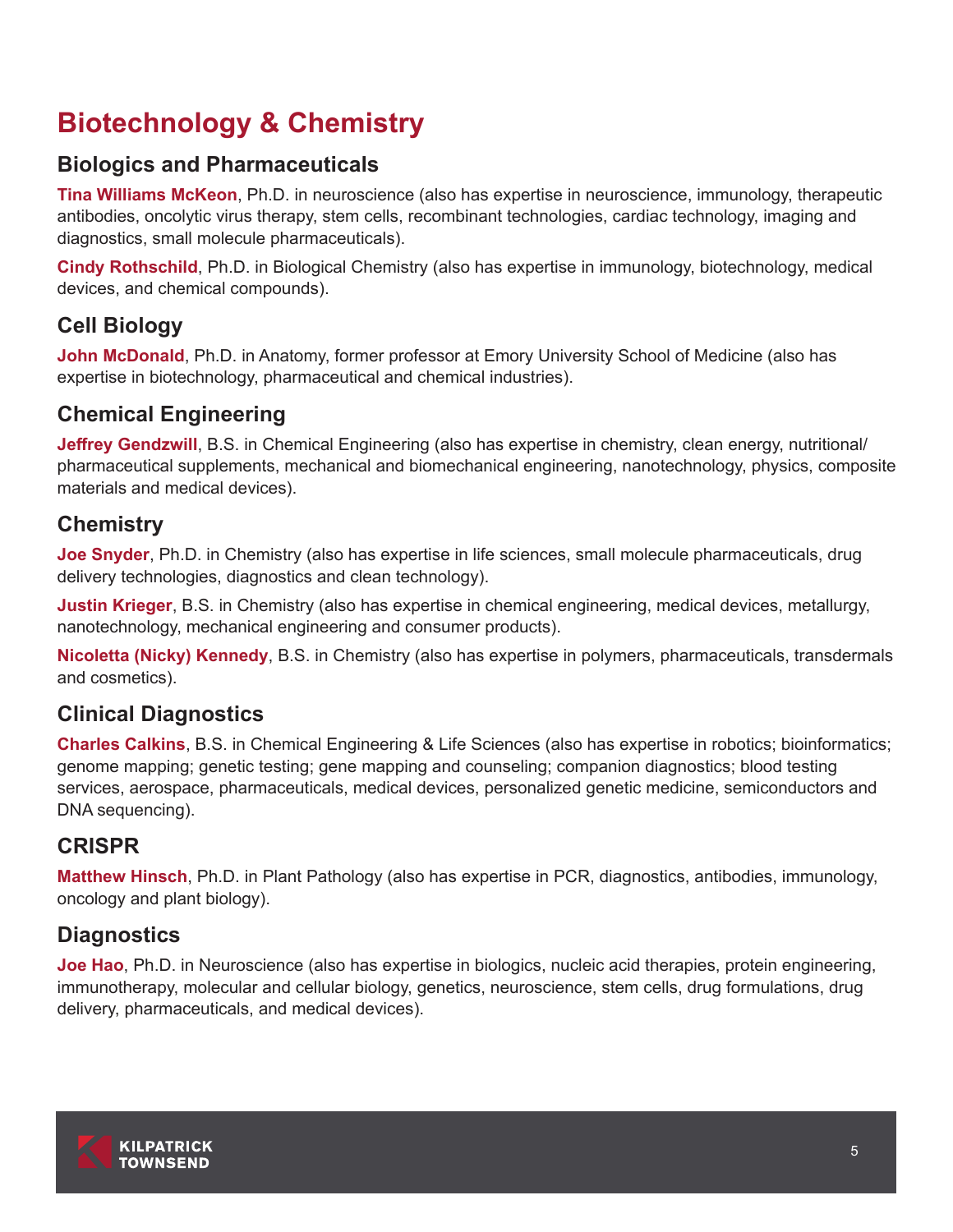# **Biotechnology & Chemistry**

## **Biologics and Pharmaceuticals**

**Tina Williams McKeon**, Ph.D. in neuroscience (also has expertise in neuroscience, immunology, therapeutic antibodies, oncolytic virus therapy, stem cells, recombinant technologies, cardiac technology, imaging and diagnostics, small molecule pharmaceuticals).

**Cindy Rothschild**, Ph.D. in Biological Chemistry (also has expertise in immunology, biotechnology, medical devices, and chemical compounds).

## **Cell Biology**

**John McDonald**, Ph.D. in Anatomy, former professor at Emory University School of Medicine (also has expertise in biotechnology, pharmaceutical and chemical industries).

## **Chemical Engineering**

**Jeffrey Gendzwill**, B.S. in Chemical Engineering (also has expertise in chemistry, clean energy, nutritional/ pharmaceutical supplements, mechanical and biomechanical engineering, nanotechnology, physics, composite materials and medical devices).

## **Chemistry**

**Joe Snyder**, Ph.D. in Chemistry (also has expertise in life sciences, small molecule pharmaceuticals, drug delivery technologies, diagnostics and clean technology).

**Justin Krieger**, B.S. in Chemistry (also has expertise in chemical engineering, medical devices, metallurgy, nanotechnology, mechanical engineering and consumer products).

**Nicoletta (Nicky) Kennedy**, B.S. in Chemistry (also has expertise in polymers, pharmaceuticals, transdermals and cosmetics).

## **Clinical Diagnostics**

**Charles Calkins**, B.S. in Chemical Engineering & Life Sciences (also has expertise in robotics; bioinformatics; genome mapping; genetic testing; gene mapping and counseling; companion diagnostics; blood testing services, aerospace, pharmaceuticals, medical devices, personalized genetic medicine, semiconductors and DNA sequencing).

## **CRISPR**

**Matthew Hinsch**, Ph.D. in Plant Pathology (also has expertise in PCR, diagnostics, antibodies, immunology, oncology and plant biology).

## **Diagnostics**

**Joe Hao**, Ph.D. in Neuroscience (also has expertise in biologics, nucleic acid therapies, protein engineering, immunotherapy, molecular and cellular biology, genetics, neuroscience, stem cells, drug formulations, drug delivery, pharmaceuticals, and medical devices).

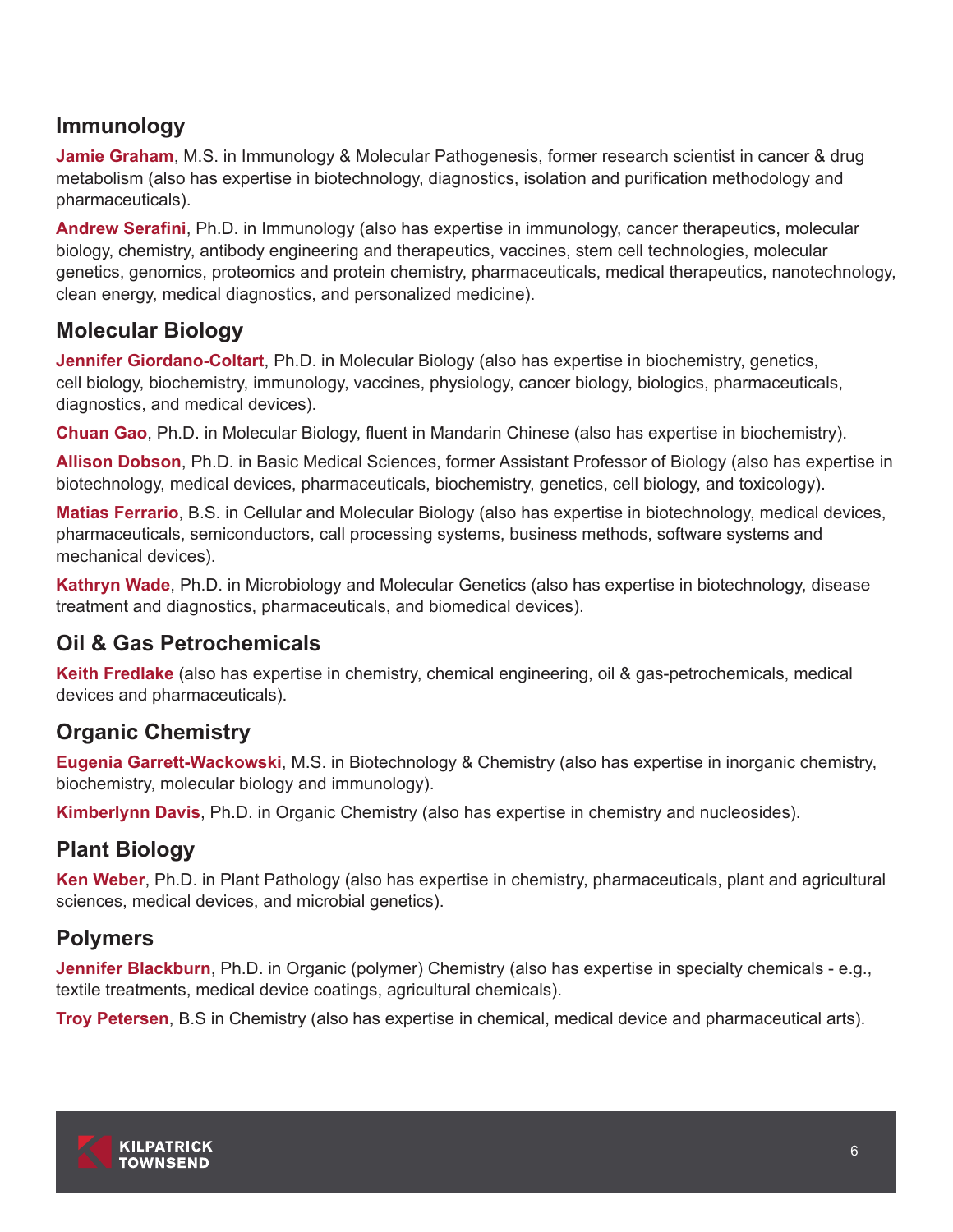## **Immunology**

**Jamie Graham**, M.S. in Immunology & Molecular Pathogenesis, former research scientist in cancer & drug metabolism (also has expertise in biotechnology, diagnostics, isolation and purification methodology and pharmaceuticals).

**Andrew Serafini**, Ph.D. in Immunology (also has expertise in immunology, cancer therapeutics, molecular biology, chemistry, antibody engineering and therapeutics, vaccines, stem cell technologies, molecular genetics, genomics, proteomics and protein chemistry, pharmaceuticals, medical therapeutics, nanotechnology, clean energy, medical diagnostics, and personalized medicine).

## **Molecular Biology**

**Jennifer Giordano-Coltart**, Ph.D. in Molecular Biology (also has expertise in biochemistry, genetics, cell biology, biochemistry, immunology, vaccines, physiology, cancer biology, biologics, pharmaceuticals, diagnostics, and medical devices).

**Chuan Gao**, Ph.D. in Molecular Biology, fluent in Mandarin Chinese (also has expertise in biochemistry).

**Allison Dobson**, Ph.D. in Basic Medical Sciences, former Assistant Professor of Biology (also has expertise in biotechnology, medical devices, pharmaceuticals, biochemistry, genetics, cell biology, and toxicology).

**Matias Ferrario**, B.S. in Cellular and Molecular Biology (also has expertise in biotechnology, medical devices, pharmaceuticals, semiconductors, call processing systems, business methods, software systems and mechanical devices).

**Kathryn Wade**, Ph.D. in Microbiology and Molecular Genetics (also has expertise in biotechnology, disease treatment and diagnostics, pharmaceuticals, and biomedical devices).

## **Oil & Gas Petrochemicals**

**Keith Fredlake** (also has expertise in chemistry, chemical engineering, oil & gas-petrochemicals, medical devices and pharmaceuticals).

## **Organic Chemistry**

**Eugenia Garrett-Wackowski**, M.S. in Biotechnology & Chemistry (also has expertise in inorganic chemistry, biochemistry, molecular biology and immunology).

**Kimberlynn Davis**, Ph.D. in Organic Chemistry (also has expertise in chemistry and nucleosides).

## **Plant Biology**

**Ken Weber**, Ph.D. in Plant Pathology (also has expertise in chemistry, pharmaceuticals, plant and agricultural sciences, medical devices, and microbial genetics).

## **Polymers**

**Jennifer Blackburn**, Ph.D. in Organic (polymer) Chemistry (also has expertise in specialty chemicals - e.g., textile treatments, medical device coatings, agricultural chemicals).

**Troy Petersen**, B.S in Chemistry (also has expertise in chemical, medical device and pharmaceutical arts).

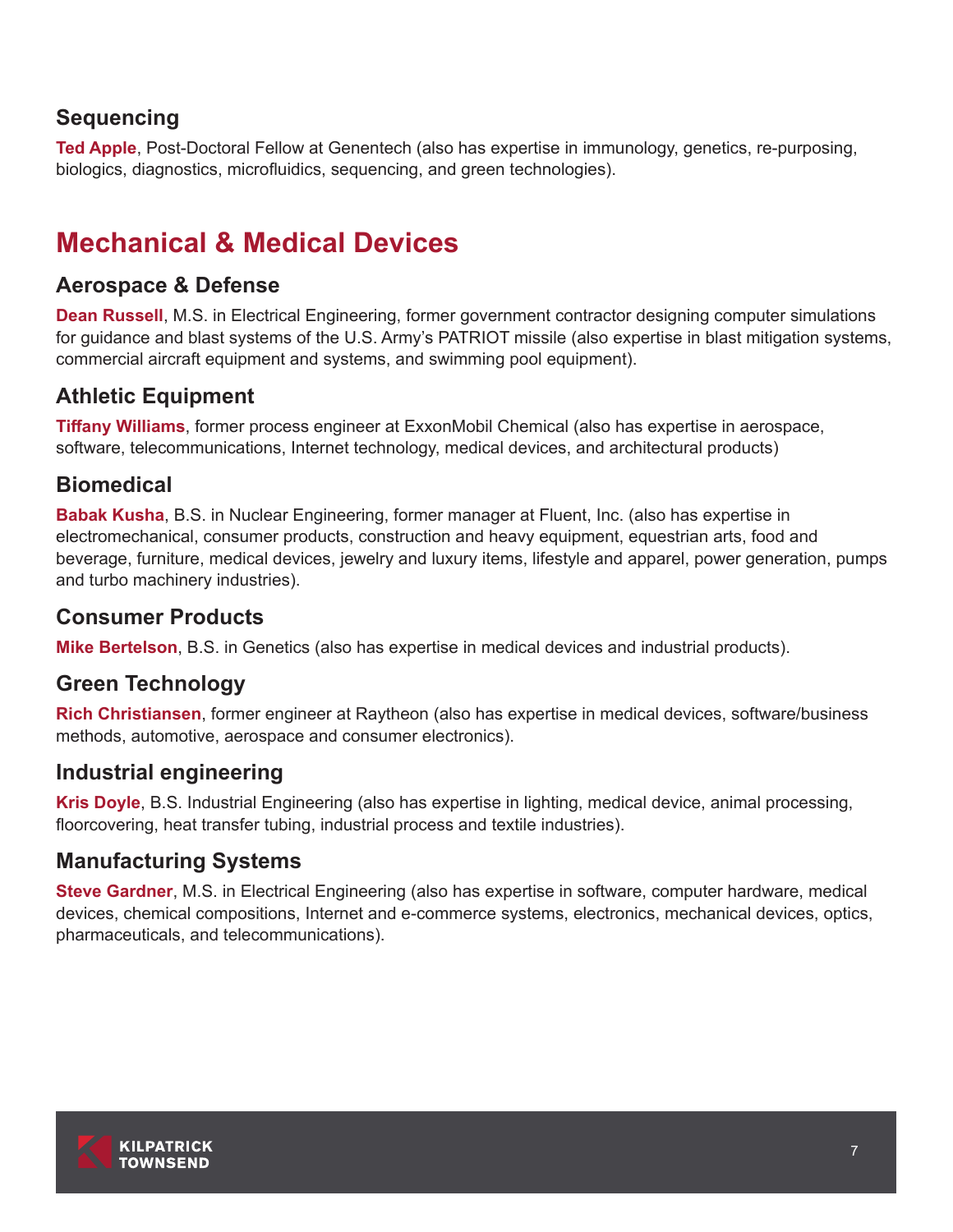## **Sequencing**

**Ted Apple**, Post-Doctoral Fellow at Genentech (also has expertise in immunology, genetics, re-purposing, biologics, diagnostics, microfluidics, sequencing, and green technologies).

# **Mechanical & Medical Devices**

## **Aerospace & Defense**

**Dean Russell**, M.S. in Electrical Engineering, former government contractor designing computer simulations for guidance and blast systems of the U.S. Army's PATRIOT missile (also expertise in blast mitigation systems, commercial aircraft equipment and systems, and swimming pool equipment).

## **Athletic Equipment**

**Tiffany Williams**, former process engineer at ExxonMobil Chemical (also has expertise in aerospace, software, telecommunications, Internet technology, medical devices, and architectural products)

## **Biomedical**

**Babak Kusha**, B.S. in Nuclear Engineering, former manager at Fluent, Inc. (also has expertise in electromechanical, consumer products, construction and heavy equipment, equestrian arts, food and beverage, furniture, medical devices, jewelry and luxury items, lifestyle and apparel, power generation, pumps and turbo machinery industries).

## **Consumer Products**

**Mike Bertelson**, B.S. in Genetics (also has expertise in medical devices and industrial products).

## **Green Technology**

**Rich Christiansen**, former engineer at Raytheon (also has expertise in medical devices, software/business methods, automotive, aerospace and consumer electronics).

## **Industrial engineering**

**Kris Doyle**, B.S. Industrial Engineering (also has expertise in lighting, medical device, animal processing, floorcovering, heat transfer tubing, industrial process and textile industries).

## **Manufacturing Systems**

**Steve Gardner**, M.S. in Electrical Engineering (also has expertise in software, computer hardware, medical devices, chemical compositions, Internet and e-commerce systems, electronics, mechanical devices, optics, pharmaceuticals, and telecommunications).